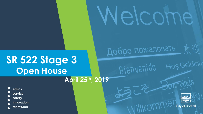# **SR 522 Stage 3 Open House**

**April 25th, 2019**

ethics service safety innovation teamwork



Hoş Geldiniz

Ielcome

Добро пожаловать

Bienneuigo

Willkomr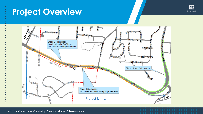## **Project Overview**



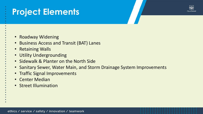## **Project Elements**



- Roadway Widening
- Business Access and Transit (BAT) Lanes
- Retaining Walls
- Utility Undergrounding
- Sidewalk & Planter on the North Side
- Sanitary Sewer, Water Main, and Storm Drainage System Improvements
- Traffic Signal Improvements
- Center Median
- Street Illumination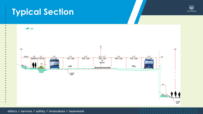## **Typical Section**



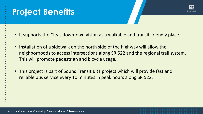## **Project Benefits**



- It supports the City's downtown vision as a walkable and transit-friendly place.
- Installation of a sidewalk on the north side of the highway will allow the neighborhoods to access intersections along SR 522 and the regional trail system. This will promote pedestrian and bicycle usage.
- This project is part of Sound Transit BRT project which will provide fast and reliable bus service every 10 minutes in peak hours along SR 522.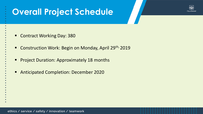## **Overall Project Schedule**



- Contract Working Day: 380
- Construction Work: Begin on Monday, April 29<sup>th,</sup> 2019
- Project Duration: Approximately 18 months
- **Anticipated Completion: December 2020**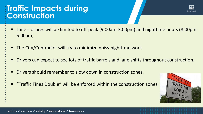### **Traffic Impacts during Construction**



- Lane closures will be limited to off-peak (9:00am-3:00pm) and nighttime hours (8:00pm-5:00am).
- The City/Contractor will try to minimize noisy nighttime work.
- Drivers can expect to see lots of traffic barrels and lane shifts throughout construction.
- Drivers should remember to slow down in construction zones.
- **The 19th Traffic Fines Double" will be enforced within the construction zones.**

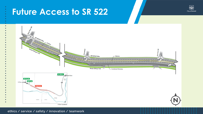## **Future Access to SR 522**



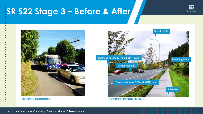## **SR 522 Stage 3 – Before & After**





**EXISTING CONDITIONS** 



**PROPOSED IMPROVEMENTS**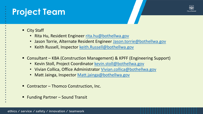## **Project Team**



- City Staff
	- Rita Hu, Resident Engineer [rita.hu@bothellwa.gov](mailto:rita.hu@bothellwa.gov)
	- Jason Torrie, Alternate Resident Engineer [Jason.torrie@bothellwa.gov](mailto:Jason.torrie@bothellwa.gov)
	- Keith Russell, Inspector [keith.Russell@bothellwa.gov](mailto:keith.Russell@bothellwa.gov)
- Consultant KBA (Construction Management) & KPFF (Engineering Support)
	- Kevin Stoll, Project Coordinator [kevin.stoll@bothellwa.gov](mailto:kevin.stoll@bothellwa.gov)
	- Vivian Collica, Office Administrator [Vivian.collica@bothellwa.gov](mailto:Vivian.collica@bothellwa.gov)
	- Matt Jainga, Inspector [Matt.jainga@bothellwa.gov](mailto:Matt.jainga@bothellwa.gov)
- Contractor Thomco Construction, Inc.
- Funding Partner Sound Transit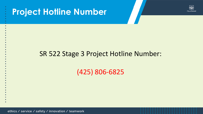



### SR 522 Stage 3 Project Hotline Number:

(425) 806-6825